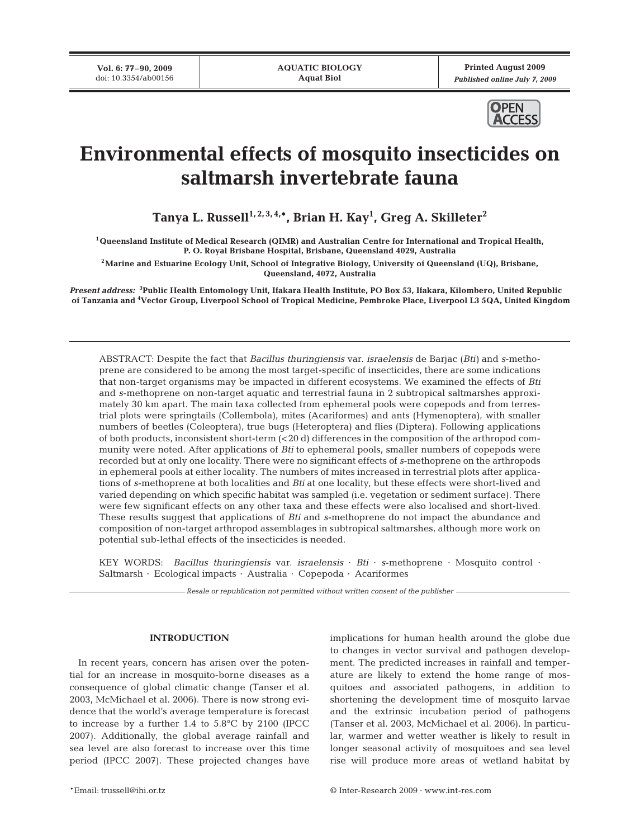**Vol. 6: 77–90, 2009** doi: 10.3354/ab00156

**Printed August 2009** *Published online July 7, 2009*



# **Environmental effects of mosquito insecticides on saltmarsh invertebrate fauna**

**Tanya L. Russell1, 2, 3, 4,\*, Brian H. Kay1 , Greg A. Skilleter2**

**1Queensland Institute of Medical Research (QIMR) and Australian Centre for International and Tropical Health, P. O. Royal Brisbane Hospital, Brisbane, Queensland 4029, Australia**

**2Marine and Estuarine Ecology Unit, School of Integrative Biology, University of Queensland (UQ), Brisbane, Queensland, 4072, Australia**

*Present address:* **<sup>3</sup> Public Health Entomology Unit, Ifakara Health Institute, PO Box 53, Ifakara, Kilombero, United Republic of Tanzania and 4 Vector Group, Liverpool School of Tropical Medicine, Pembroke Place, Liverpool L3 5QA, United Kingdom**

ABSTRACT: Despite the fact that *Bacillus thuringiensis* var. *israelensis* de Barjac (*Bti)* and *s*-methoprene are considered to be among the most target-specific of insecticides, there are some indications that non-target organisms may be impacted in different ecosystems. We examined the effects of *Bti* and *s*-methoprene on non-target aquatic and terrestrial fauna in 2 subtropical saltmarshes approximately 30 km apart. The main taxa collected from ephemeral pools were copepods and from terrestrial plots were springtails (Collembola), mites (Acariformes) and ants (Hymenoptera), with smaller numbers of beetles (Coleoptera), true bugs (Heteroptera) and flies (Diptera). Following applications of both products, inconsistent short-term (<20 d) differences in the composition of the arthropod community were noted. After applications of *Bti* to ephemeral pools, smaller numbers of copepods were recorded but at only one locality. There were no significant effects of *s*-methoprene on the arthropods in ephemeral pools at either locality. The numbers of mites increased in terrestrial plots after applications of *s*-methoprene at both localities and *Bti* at one locality, but these effects were short-lived and varied depending on which specific habitat was sampled (i.e. vegetation or sediment surface). There were few significant effects on any other taxa and these effects were also localised and short-lived. These results suggest that applications of *Bti* and *s*-methoprene do not impact the abundance and composition of non-target arthropod assemblages in subtropical saltmarshes, although more work on potential sub-lethal effects of the insecticides is needed.

KEY WORDS: *Bacillus thuringiensis* var. *israelensis* · *Bti* · *s*-methoprene · Mosquito control · Saltmarsh · Ecological impacts · Australia · Copepoda · Acariformes

*Resale or republication not permitted without written consent of the publisher*

## **INTRODUCTION**

In recent years, concern has arisen over the potential for an increase in mosquito-borne diseases as a consequence of global climatic change (Tanser et al. 2003, McMichael et al. 2006). There is now strong evidence that the world's average temperature is forecast to increase by a further 1.4 to 5.8°C by 2100 (IPCC 2007). Additionally, the global average rainfall and sea level are also forecast to increase over this time period (IPCC 2007). These projected changes have

implications for human health around the globe due to changes in vector survival and pathogen development. The predicted increases in rainfall and temperature are likely to extend the home range of mosquitoes and associated pathogens, in addition to shortening the development time of mosquito larvae and the extrinsic incubation period of pathogens (Tanser et al. 2003, McMichael et al. 2006). In particular, warmer and wetter weather is likely to result in longer seasonal activity of mosquitoes and sea level rise will produce more areas of wetland habitat by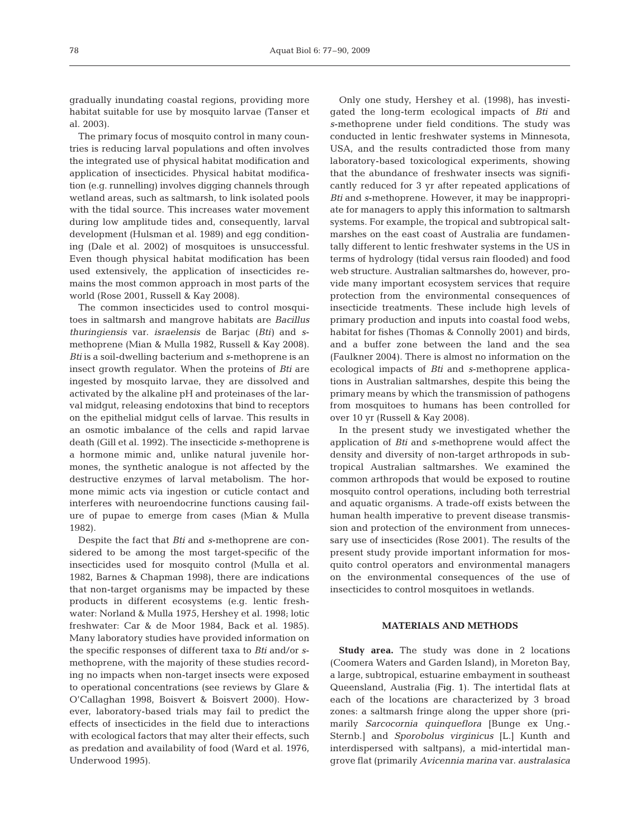gradually inundating coastal regions, providing more habitat suitable for use by mosquito larvae (Tanser et al. 2003).

The primary focus of mosquito control in many countries is reducing larval populations and often involves the integrated use of physical habitat modification and application of insecticides. Physical habitat modification (e.g. runnelling) involves digging channels through wetland areas, such as saltmarsh, to link isolated pools with the tidal source. This increases water movement during low amplitude tides and, consequently, larval development (Hulsman et al. 1989) and egg conditioning (Dale et al. 2002) of mosquitoes is unsuccessful. Even though physical habitat modification has been used extensively, the application of insecticides remains the most common approach in most parts of the world (Rose 2001, Russell & Kay 2008).

The common insecticides used to control mosquitoes in saltmarsh and mangrove habitats are *Bacillus thuringiensis* var. *israelensis* de Barjac (*Bti)* and *s*methoprene (Mian & Mulla 1982, Russell & Kay 2008). *Bti* is a soil-dwelling bacterium and *s*-methoprene is an insect growth regulator. When the proteins of *Bti* are ingested by mosquito larvae, they are dissolved and activated by the alkaline pH and proteinases of the larval midgut, releasing endotoxins that bind to receptors on the epithelial midgut cells of larvae. This results in an osmotic imbalance of the cells and rapid larvae death (Gill et al. 1992). The insecticide *s*-methoprene is a hormone mimic and, unlike natural juvenile hormones, the synthetic analogue is not affected by the destructive enzymes of larval metabolism. The hormone mimic acts via ingestion or cuticle contact and interferes with neuroendocrine functions causing failure of pupae to emerge from cases (Mian & Mulla 1982).

Despite the fact that *Bti* and *s*-methoprene are considered to be among the most target-specific of the insecticides used for mosquito control (Mulla et al. 1982, Barnes & Chapman 1998), there are indications that non-target organisms may be impacted by these products in different ecosystems (e.g. lentic freshwater: Norland & Mulla 1975, Hershey et al. 1998; lotic freshwater: Car & de Moor 1984, Back et al. 1985). Many laboratory studies have provided information on the specific responses of different taxa to *Bti* and/or *s*methoprene, with the majority of these studies recording no impacts when non-target insects were exposed to operational concentrations (see reviews by Glare & O'Callaghan 1998, Boisvert & Boisvert 2000). However, laboratory-based trials may fail to predict the effects of insecticides in the field due to interactions with ecological factors that may alter their effects, such as predation and availability of food (Ward et al. 1976, Underwood 1995).

Only one study, Hershey et al. (1998), has investigated the long-term ecological impacts of *Bti* and *s*-methoprene under field conditions. The study was conducted in lentic freshwater systems in Minnesota, USA, and the results contradicted those from many laboratory-based toxicological experiments, showing that the abundance of freshwater insects was significantly reduced for 3 yr after repeated applications of *Bti* and *s*-methoprene. However, it may be inappropriate for managers to apply this information to saltmarsh systems. For example, the tropical and subtropical saltmarshes on the east coast of Australia are fundamentally different to lentic freshwater systems in the US in terms of hydrology (tidal versus rain flooded) and food web structure. Australian saltmarshes do, however, provide many important ecosystem services that require protection from the environmental consequences of insecticide treatments. These include high levels of primary production and inputs into coastal food webs, habitat for fishes (Thomas & Connolly 2001) and birds, and a buffer zone between the land and the sea (Faulkner 2004). There is almost no information on the ecological impacts of *Bti* and *s*-methoprene applications in Australian saltmarshes, despite this being the primary means by which the transmission of pathogens from mosquitoes to humans has been controlled for over 10 yr (Russell & Kay 2008).

In the present study we investigated whether the application of *Bti* and *s-*methoprene would affect the density and diversity of non-target arthropods in subtropical Australian saltmarshes. We examined the common arthropods that would be exposed to routine mosquito control operations, including both terrestrial and aquatic organisms. A trade-off exists between the human health imperative to prevent disease transmission and protection of the environment from unnecessary use of insecticides (Rose 2001). The results of the present study provide important information for mosquito control operators and environmental managers on the environmental consequences of the use of insecticides to control mosquitoes in wetlands.

## **MATERIALS AND METHODS**

**Study area.** The study was done in 2 locations (Coomera Waters and Garden Island), in Moreton Bay, a large, subtropical, estuarine embayment in southeast Queensland, Australia (Fig. 1). The intertidal flats at each of the locations are characterized by 3 broad zones: a saltmarsh fringe along the upper shore (primarily *Sarcocornia quinqueflora* [Bunge ex Ung.- Sternb.] and *Sporobolus virginicus* [L.] Kunth and interdispersed with saltpans), a mid-intertidal mangrove flat (primarily *Avicennia marina* var. *australasica*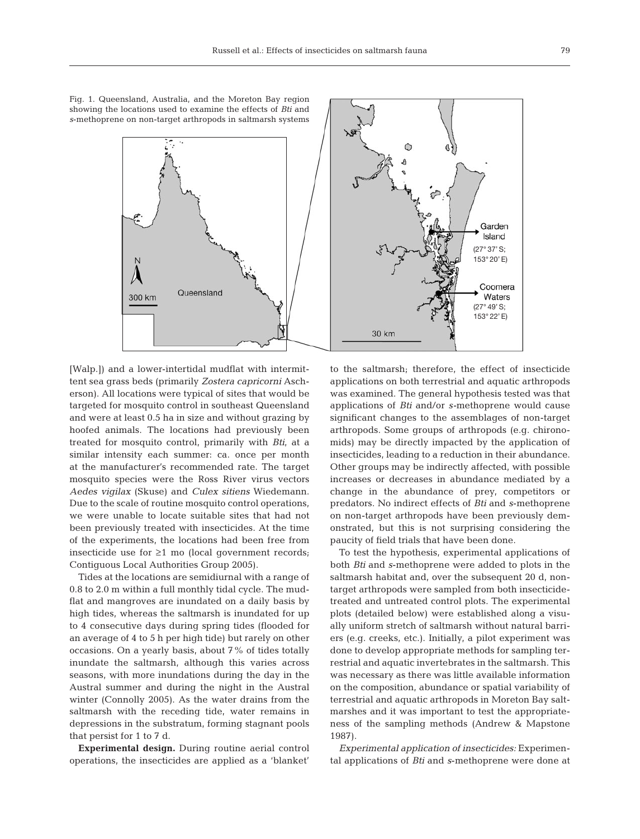Fig. 1. Queensland, Australia, and the Moreton Bay region showing the locations used to examine the effects of *Bti* and *s*-methoprene on non-target arthropods in saltmarsh systems

Queensland

300 km



Tides at the locations are semidiurnal with a range of 0.8 to 2.0 m within a full monthly tidal cycle. The mudflat and mangroves are inundated on a daily basis by high tides, whereas the saltmarsh is inundated for up to 4 consecutive days during spring tides (flooded for an average of 4 to 5 h per high tide) but rarely on other occasions. On a yearly basis, about 7% of tides totally inundate the saltmarsh, although this varies across seasons, with more inundations during the day in the Austral summer and during the night in the Austral winter (Connolly 2005). As the water drains from the saltmarsh with the receding tide, water remains in depressions in the substratum, forming stagnant pools that persist for 1 to 7 d.

**Experimental design.** During routine aerial control operations, the insecticides are applied as a 'blanket'



to the saltmarsh; therefore, the effect of insecticide applications on both terrestrial and aquatic arthropods was examined. The general hypothesis tested was that applications of *Bti* and/or *s-*methoprene would cause significant changes to the assemblages of non-target arthropods. Some groups of arthropods (e.g. chironomids) may be directly impacted by the application of insecticides, leading to a reduction in their abundance. Other groups may be indirectly affected, with possible increases or decreases in abundance mediated by a change in the abundance of prey, competitors or predators. No indirect effects of *Bti* and *s*-methoprene on non-target arthropods have been previously demonstrated, but this is not surprising considering the paucity of field trials that have been done.

To test the hypothesis, experimental applications of both *Bti* and *s*-methoprene were added to plots in the saltmarsh habitat and, over the subsequent 20 d, nontarget arthropods were sampled from both insecticidetreated and untreated control plots. The experimental plots (detailed below) were established along a visually uniform stretch of saltmarsh without natural barriers (e.g. creeks, etc.). Initially, a pilot experiment was done to develop appropriate methods for sampling terrestrial and aquatic invertebrates in the saltmarsh. This was necessary as there was little available information on the composition, abundance or spatial variability of terrestrial and aquatic arthropods in Moreton Bay saltmarshes and it was important to test the appropriateness of the sampling methods (Andrew & Mapstone 1987).

*Experimental application of insecticides:* Experimental applications of *Bti* and *s*-methoprene were done at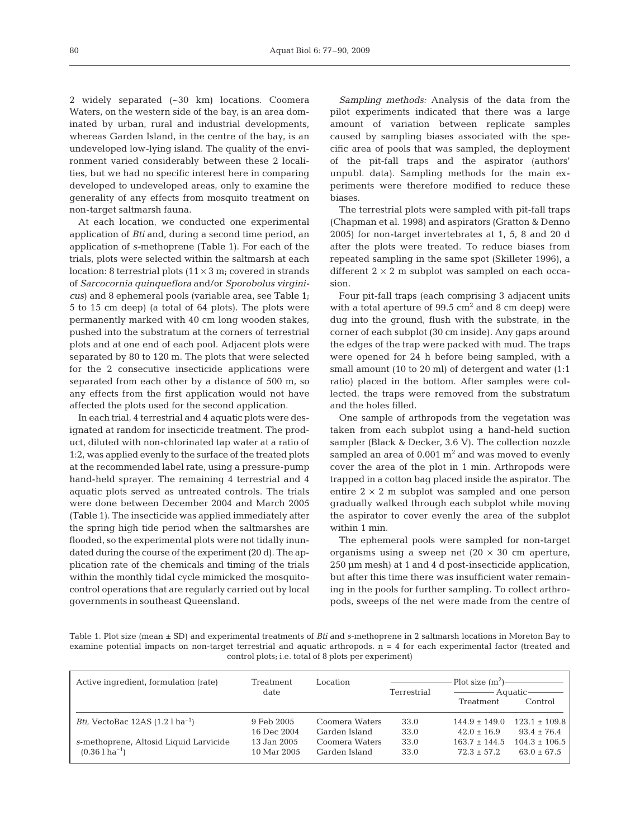2 widely separated (~30 km) locations. Coomera Waters, on the western side of the bay, is an area dominated by urban, rural and industrial developments, whereas Garden Island, in the centre of the bay, is an undeveloped low-lying island. The quality of the environment varied considerably between these 2 localities, but we had no specific interest here in comparing developed to undeveloped areas, only to examine the generality of any effects from mosquito treatment on non-target saltmarsh fauna.

At each location, we conducted one experimental application of *Bti* and, during a second time period, an application of *s-*methoprene (Table 1). For each of the trials, plots were selected within the saltmarsh at each location: 8 terrestrial plots  $(11 \times 3 \text{ m})$ ; covered in strands of *Sarcocornia quinqueflora* and/or *Sporobolus virginicus*) and 8 ephemeral pools (variable area, see Table 1; 5 to 15 cm deep) (a total of 64 plots). The plots were permanently marked with 40 cm long wooden stakes, pushed into the substratum at the corners of terrestrial plots and at one end of each pool. Adjacent plots were separated by 80 to 120 m. The plots that were selected for the 2 consecutive insecticide applications were separated from each other by a distance of 500 m, so any effects from the first application would not have affected the plots used for the second application.

In each trial, 4 terrestrial and 4 aquatic plots were designated at random for insecticide treatment. The product, diluted with non-chlorinated tap water at a ratio of 1:2, was applied evenly to the surface of the treated plots at the recommended label rate, using a pressure-pump hand-held sprayer. The remaining 4 terrestrial and 4 aquatic plots served as untreated controls. The trials were done between December 2004 and March 2005 (Table 1). The insecticide was applied immediately after the spring high tide period when the saltmarshes are flooded, so the experimental plots were not tidally inundated during the course of the experiment (20 d). The application rate of the chemicals and timing of the trials within the monthly tidal cycle mimicked the mosquitocontrol operations that are regularly carried out by local governments in southeast Queensland.

*Sampling methods:* Analysis of the data from the pilot experiments indicated that there was a large amount of variation between replicate samples caused by sampling biases associated with the specific area of pools that was sampled, the deployment of the pit-fall traps and the aspirator (authors' unpubl. data). Sampling methods for the main experiments were therefore modified to reduce these biases.

The terrestrial plots were sampled with pit-fall traps (Chapman et al. 1998) and aspirators (Gratton & Denno 2005) for non-target invertebrates at 1, 5, 8 and 20 d after the plots were treated. To reduce biases from repeated sampling in the same spot (Skilleter 1996), a different  $2 \times 2$  m subplot was sampled on each occasion.

Four pit-fall traps (each comprising 3 adjacent units with a total aperture of  $99.5 \text{ cm}^2$  and 8 cm deep) were dug into the ground, flush with the substrate, in the corner of each subplot (30 cm inside). Any gaps around the edges of the trap were packed with mud. The traps were opened for 24 h before being sampled, with a small amount (10 to 20 ml) of detergent and water (1:1 ratio) placed in the bottom. After samples were collected, the traps were removed from the substratum and the holes filled.

One sample of arthropods from the vegetation was taken from each subplot using a hand-held suction sampler (Black & Decker, 3.6 V). The collection nozzle sampled an area of  $0.001 \text{ m}^2$  and was moved to evenly cover the area of the plot in 1 min. Arthropods were trapped in a cotton bag placed inside the aspirator. The entire  $2 \times 2$  m subplot was sampled and one person gradually walked through each subplot while moving the aspirator to cover evenly the area of the subplot within 1 min.

The ephemeral pools were sampled for non-target organisms using a sweep net  $(20 \times 30 \text{ cm}$  aperture, 250 µm mesh) at 1 and 4 d post-insecticide application, but after this time there was insufficient water remaining in the pools for further sampling. To collect arthropods, sweeps of the net were made from the centre of

Table 1. Plot size (mean ± SD) and experimental treatments of *Bti* and *s*-methoprene in 2 saltmarsh locations in Moreton Bay to examine potential impacts on non-target terrestrial and aquatic arthropods.  $n = 4$  for each experimental factor (treated and control plots; i.e. total of 8 plots per experiment)

| Active ingredient, formulation (rate)      | Treatment<br>date          | Location                        | Terrestrial  | Plot size $(m^2)$ -<br>Treatment     | — Aquatic ———<br>Control             |
|--------------------------------------------|----------------------------|---------------------------------|--------------|--------------------------------------|--------------------------------------|
| <i>Bti</i> , VectoBac $12AS(1.21 ha^{-1})$ | 9 Feb 2005                 | Coomera Waters                  | 33.0         | $144.9 \pm 149.0$                    | $123.1 \pm 109.8$                    |
| s-methoprene, Altosid Liquid Larvicide     | 16 Dec 2004<br>13 Jan 2005 | Garden Island<br>Coomera Waters | 33.0<br>33.0 | $42.0 \pm 16.9$<br>$163.7 \pm 144.5$ | $93.4 \pm 76.4$<br>$104.3 \pm 106.5$ |
| $(0.36 \text{ l} \text{ ha}^{-1})$         | 10 Mar 2005                | Garden Island                   | 33.0         | $72.3 \pm 57.2$                      | $63.0 \pm 67.5$                      |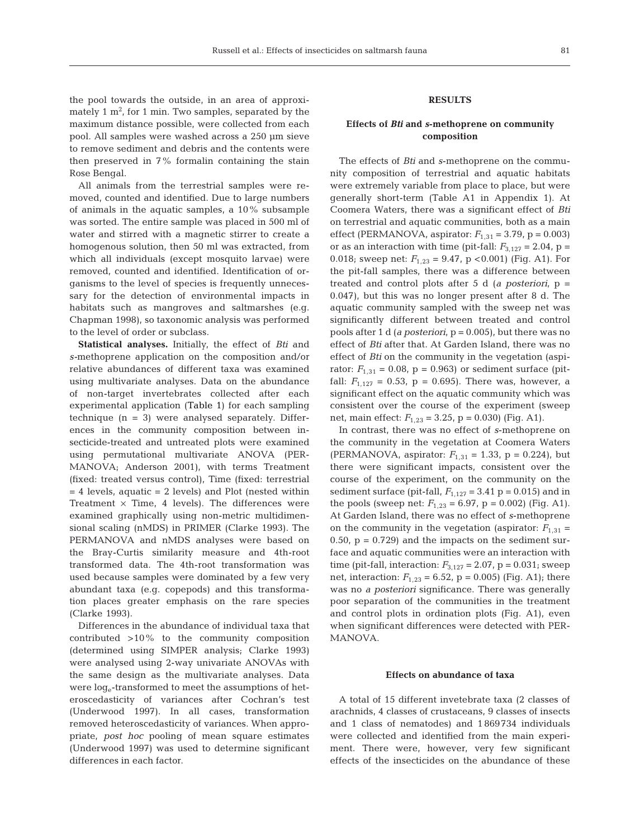the pool towards the outside, in an area of approximately 1  $\mathrm{m}^{2}$ , for 1 min. Two samples, separated by the maximum distance possible, were collected from each pool. All samples were washed across a 250 µm sieve to remove sediment and debris and the contents were then preserved in 7% formalin containing the stain Rose Bengal.

All animals from the terrestrial samples were removed, counted and identified. Due to large numbers of animals in the aquatic samples, a 10% subsample was sorted. The entire sample was placed in 500 ml of water and stirred with a magnetic stirrer to create a homogenous solution, then 50 ml was extracted, from which all individuals (except mosquito larvae) were removed, counted and identified. Identification of organisms to the level of species is frequently unnecessary for the detection of environmental impacts in habitats such as mangroves and saltmarshes (e.g. Chapman 1998), so taxonomic analysis was performed to the level of order or subclass.

**Statistical analyses.** Initially, the effect of *Bti* and *s-*methoprene application on the composition and/or relative abundances of different taxa was examined using multivariate analyses. Data on the abundance of non-target invertebrates collected after each experimental application (Table 1) for each sampling technique  $(n = 3)$  were analysed separately. Differences in the community composition between insecticide-treated and untreated plots were examined using permutational multivariate ANOVA (PER-MANOVA; Anderson 2001), with terms Treatment (fixed: treated versus control), Time (fixed: terrestrial = 4 levels, aquatic = 2 levels) and Plot (nested within Treatment  $\times$  Time, 4 levels). The differences were examined graphically using non-metric multidimensional scaling (nMDS) in PRIMER (Clarke 1993). The PERMANOVA and nMDS analyses were based on the Bray-Curtis similarity measure and 4th-root transformed data. The 4th-root transformation was used because samples were dominated by a few very abundant taxa (e.g. copepods) and this transformation places greater emphasis on the rare species (Clarke 1993).

Differences in the abundance of individual taxa that contributed >10% to the community composition (determined using SIMPER analysis; Clarke 1993) were analysed using 2-way univariate ANOVAs with the same design as the multivariate analyses. Data were  $log_e$ -transformed to meet the assumptions of heteroscedasticity of variances after Cochran's test (Underwood 1997). In all cases, transformation removed heteroscedasticity of variances. When appropriate, *post hoc* pooling of mean square estimates (Underwood 1997) was used to determine significant differences in each factor.

## **RESULTS**

# **Effects of** *Bti* **and** *s***-methoprene on community composition**

The effects of *Bti* and *s*-methoprene on the community composition of terrestrial and aquatic habitats were extremely variable from place to place, but were generally short-term (Table A1 in Appendix 1). At Coomera Waters, there was a significant effect of *Bti* on terrestrial and aquatic communities, both as a main effect (PERMANOVA, aspirator: *F*1,31 = 3.79, p = 0.003) or as an interaction with time (pit-fall:  $F_{3,127} = 2.04$ , p = 0.018; sweep net:  $F_{1,23} = 9.47$ , p < 0.001) (Fig. A1). For the pit-fall samples, there was a difference between treated and control plots after 5 d (*a posteriori*, p = 0.047), but this was no longer present after 8 d. The aquatic community sampled with the sweep net was significantly different between treated and control pools after 1 d (*a posteriori*, p = 0.005), but there was no effect of *Bti* after that. At Garden Island, there was no effect of *Bti* on the community in the vegetation (aspirator:  $F_{1,31} = 0.08$ ,  $p = 0.963$ ) or sediment surface (pitfall:  $F_{1,127} = 0.53$ ,  $p = 0.695$ ). There was, however, a significant effect on the aquatic community which was consistent over the course of the experiment (sweep net, main effect: *F*1,23 = 3.25, p = 0.030) (Fig. A1).

In contrast, there was no effect of *s*-methoprene on the community in the vegetation at Coomera Waters (PERMANOVA, aspirator:  $F_{1,31} = 1.33$ , p = 0.224), but there were significant impacts, consistent over the course of the experiment, on the community on the sediment surface (pit-fall,  $F_{1,127} = 3.41$  p = 0.015) and in the pools (sweep net:  $F_{1,23} = 6.97$ , p = 0.002) (Fig. A1). At Garden Island, there was no effect of *s*-methoprene on the community in the vegetation (aspirator:  $F_{1,31}$  = 0.50,  $p = 0.729$ ) and the impacts on the sediment surface and aquatic communities were an interaction with time (pit-fall, interaction:  $F_{3,127} = 2.07$ , p = 0.031; sweep net, interaction:  $F_{1,23} = 6.52$ ,  $p = 0.005$ ) (Fig. A1); there was no *a posteriori* significance. There was generally poor separation of the communities in the treatment and control plots in ordination plots (Fig. A1), even when significant differences were detected with PER-MANOVA.

### **Effects on abundance of taxa**

A total of 15 different invetebrate taxa (2 classes of arachnids, 4 classes of crustaceans, 9 classes of insects and 1 class of nematodes) and 1 869734 individuals were collected and identified from the main experiment. There were, however, very few significant effects of the insecticides on the abundance of these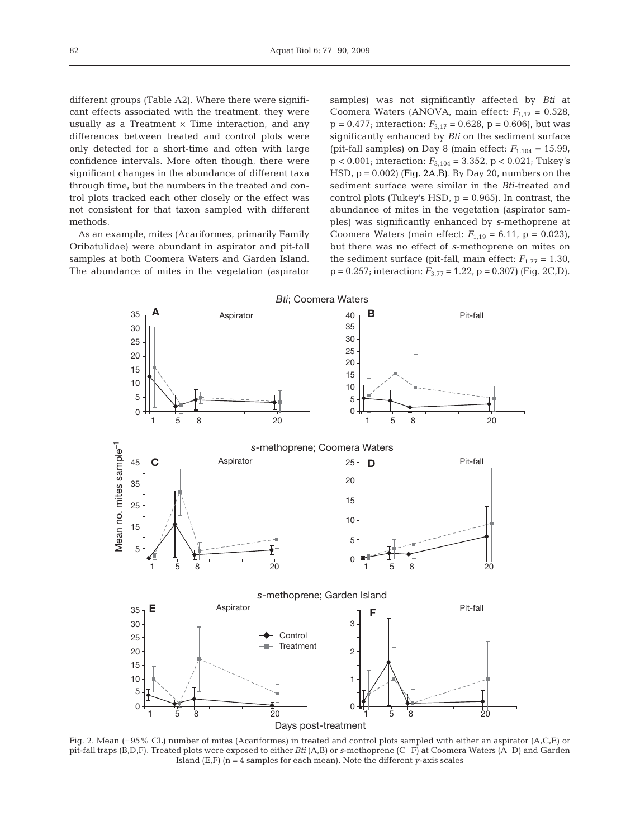different groups (Table A2). Where there were significant effects associated with the treatment, they were usually as a Treatment  $\times$  Time interaction, and any differences between treated and control plots were only detected for a short-time and often with large confidence intervals. More often though, there were significant changes in the abundance of different taxa through time, but the numbers in the treated and control plots tracked each other closely or the effect was not consistent for that taxon sampled with different methods.

As an example, mites (Acariformes, primarily Family Oribatulidae) were abundant in aspirator and pit-fall samples at both Coomera Waters and Garden Island. The abundance of mites in the vegetation (aspirator samples) was not significantly affected by *Bti* at Coomera Waters (ANOVA, main effect:  $F_{1,17} = 0.528$ ,  $p = 0.477$ ; interaction:  $F_{3,17} = 0.628$ ,  $p = 0.606$ ), but was significantly enhanced by *Bti* on the sediment surface (pit-fall samples) on Day 8 (main effect:  $F_{1,104} = 15.99$ , p < 0.001; interaction: *F*3,104 = 3.352, p < 0.021; Tukey's HSD,  $p = 0.002$ ) (Fig. 2A,B). By Day 20, numbers on the sediment surface were similar in the *Bti-*treated and control plots (Tukey's HSD,  $p = 0.965$ ). In contrast, the abundance of mites in the vegetation (aspirator samples) was significantly enhanced by *s*-methoprene at Coomera Waters (main effect:  $F_{1,19} = 6.11$ ,  $p = 0.023$ ), but there was no effect of *s*-methoprene on mites on the sediment surface (pit-fall, main effect:  $F_{1,77} = 1.30$ ,  $p = 0.257$ ; interaction:  $F_{3,77} = 1.22$ ,  $p = 0.307$ ) (Fig. 2C,D).



Fig. 2. Mean (±95% CL) number of mites (Acariformes) in treated and control plots sampled with either an aspirator (A,C,E) or pit-fall traps (B,D,F). Treated plots were exposed to either *Bti* (A,B) or *s*-methoprene (C–F) at Coomera Waters (A–D) and Garden Island (E,F) (n = 4 samples for each mean). Note the different *y*-axis scales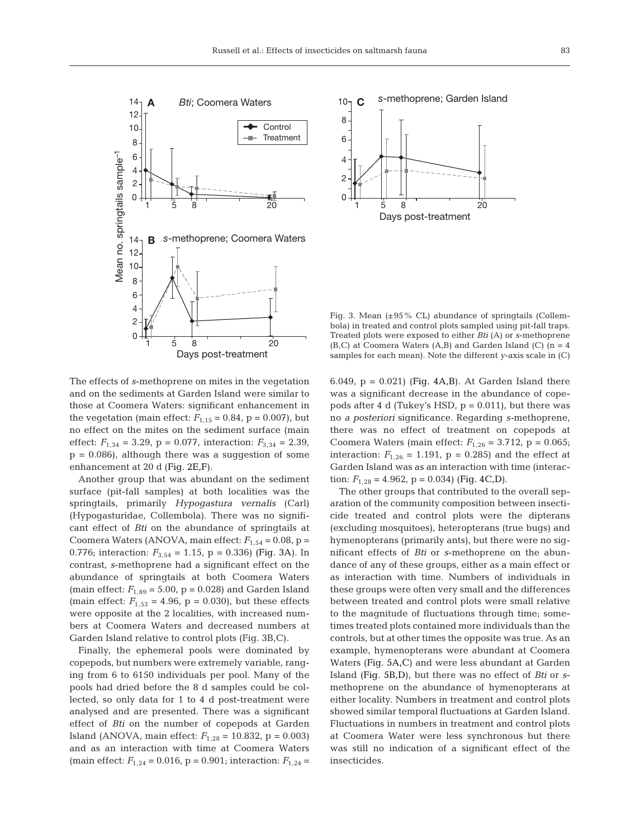



Fig. 3. Mean  $(\pm 95\%$  CL) abundance of springtails (Collembola) in treated and control plots sampled using pit-fall traps. Treated plots were exposed to either *Bti* (A) or *s*-methoprene  $(B, C)$  at Coomera Waters  $(A, B)$  and Garden Island  $(C)$   $(n = 4)$ samples for each mean). Note the different *y*-axis scale in (C)

The effects of *s*-methoprene on mites in the vegetation and on the sediments at Garden Island were similar to those at Coomera Waters: significant enhancement in the vegetation (main effect:  $F_{1,15} = 0.84$ , p = 0.007), but no effect on the mites on the sediment surface (main effect:  $F_{1,34} = 3.29$ ,  $p = 0.077$ , interaction:  $F_{3,34} = 2.39$ ,  $p = 0.086$ , although there was a suggestion of some enhancement at 20 d (Fig. 2E,F).

Another group that was abundant on the sediment surface (pit-fall samples) at both localities was the springtails, primarily *Hypogastura vernalis* (Carl) (Hypogasturidae, Collembola). There was no significant effect of *Bti* on the abundance of springtails at Coomera Waters (ANOVA, main effect:  $F_{1,54} = 0.08$ , p = 0.776; interaction:  $F_{3,54} = 1.15$ , p = 0.336) (Fig. 3A). In contrast, *s*-methoprene had a significant effect on the abundance of springtails at both Coomera Waters (main effect:  $F_{1,89} = 5.00$ ,  $p = 0.028$ ) and Garden Island (main effect:  $F_{1,53} = 4.96$ ,  $p = 0.030$ ), but these effects were opposite at the 2 localities, with increased numbers at Coomera Waters and decreased numbers at Garden Island relative to control plots (Fig. 3B,C).

Finally, the ephemeral pools were dominated by copepods, but numbers were extremely variable, ranging from 6 to 6150 individuals per pool. Many of the pools had dried before the 8 d samples could be collected, so only data for 1 to 4 d post-treatment were analysed and are presented. There was a significant effect of *Bti* on the number of copepods at Garden Island (ANOVA, main effect:  $F_{1,28} = 10.832$ , p = 0.003) and as an interaction with time at Coomera Waters (main effect:  $F_{1,24} = 0.016$ , p = 0.901; interaction:  $F_{1,24} =$ 

6.049,  $p = 0.021$ ) (Fig. 4A,B). At Garden Island there was a significant decrease in the abundance of copepods after 4 d (Tukey's HSD,  $p = 0.011$ ), but there was no *a posteriori* significance. Regarding *s-*methoprene, there was no effect of treatment on copepods at Coomera Waters (main effect:  $F_{1,26} = 3.712$ ,  $p = 0.065$ ; interaction:  $F_{1,26} = 1.191$ ,  $p = 0.285$ ) and the effect at Garden Island was as an interaction with time (interaction:  $F_{1,28} = 4.962$ ,  $p = 0.034$ ) (Fig. 4C,D).

The other groups that contributed to the overall separation of the community composition between insecticide treated and control plots were the dipterans (excluding mosquitoes), heteropterans (true bugs) and hymenopterans (primarily ants), but there were no significant effects of *Bti* or *s*-methoprene on the abundance of any of these groups, either as a main effect or as interaction with time. Numbers of individuals in these groups were often very small and the differences between treated and control plots were small relative to the magnitude of fluctuations through time; sometimes treated plots contained more individuals than the controls, but at other times the opposite was true. As an example, hymenopterans were abundant at Coomera Waters (Fig. 5A,C) and were less abundant at Garden Island (Fig. 5B,D), but there was no effect of *Bti* or *s*methoprene on the abundance of hymenopterans at either locality. Numbers in treatment and control plots showed similar temporal fluctuations at Garden Island. Fluctuations in numbers in treatment and control plots at Coomera Water were less synchronous but there was still no indication of a significant effect of the insecticides.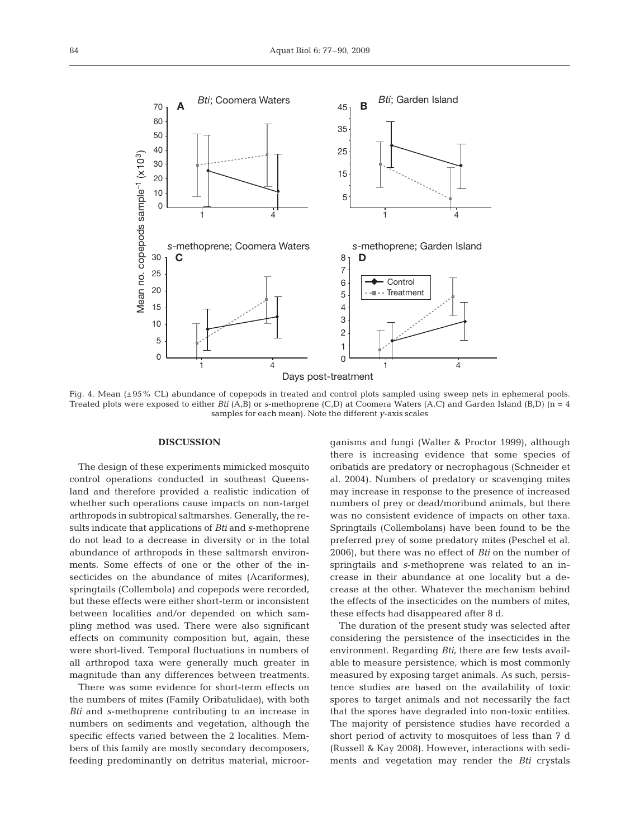

Fig. 4. Mean (±95% CL) abundance of copepods in treated and control plots sampled using sweep nets in ephemeral pools. Treated plots were exposed to either *Bti* (A,B) or *s*-methoprene (C,D) at Coomera Waters (A,C) and Garden Island (B,D) (n = 4 samples for each mean). Note the different *y*-axis scales

#### **DISCUSSION**

The design of these experiments mimicked mosquito control operations conducted in southeast Queensland and therefore provided a realistic indication of whether such operations cause impacts on non-target arthropods in subtropical saltmarshes. Generally, the results indicate that applications of *Bti* and *s*-methoprene do not lead to a decrease in diversity or in the total abundance of arthropods in these saltmarsh environments. Some effects of one or the other of the insecticides on the abundance of mites (Acariformes), springtails (Collembola) and copepods were recorded, but these effects were either short-term or inconsistent between localities and/or depended on which sampling method was used. There were also significant effects on community composition but, again, these were short-lived. Temporal fluctuations in numbers of all arthropod taxa were generally much greater in magnitude than any differences between treatments.

There was some evidence for short-term effects on the numbers of mites (Family Oribatulidae), with both *Bti* and *s*-methoprene contributing to an increase in numbers on sediments and vegetation, although the specific effects varied between the 2 localities. Members of this family are mostly secondary decomposers, feeding predominantly on detritus material, microorganisms and fungi (Walter & Proctor 1999), although there is increasing evidence that some species of oribatids are predatory or necrophagous (Schneider et al. 2004). Numbers of predatory or scavenging mites may increase in response to the presence of increased numbers of prey or dead/moribund animals, but there was no consistent evidence of impacts on other taxa. Springtails (Collembolans) have been found to be the preferred prey of some predatory mites (Peschel et al. 2006), but there was no effect of *Bti* on the number of springtails and *s*-methoprene was related to an increase in their abundance at one locality but a decrease at the other. Whatever the mechanism behind the effects of the insecticides on the numbers of mites, these effects had disappeared after 8 d.

The duration of the present study was selected after considering the persistence of the insecticides in the environment. Regarding *Bti*, there are few tests available to measure persistence, which is most commonly measured by exposing target animals. As such, persistence studies are based on the availability of toxic spores to target animals and not necessarily the fact that the spores have degraded into non-toxic entities. The majority of persistence studies have recorded a short period of activity to mosquitoes of less than 7 d (Russell & Kay 2008). However, interactions with sediments and vegetation may render the *Bti* crystals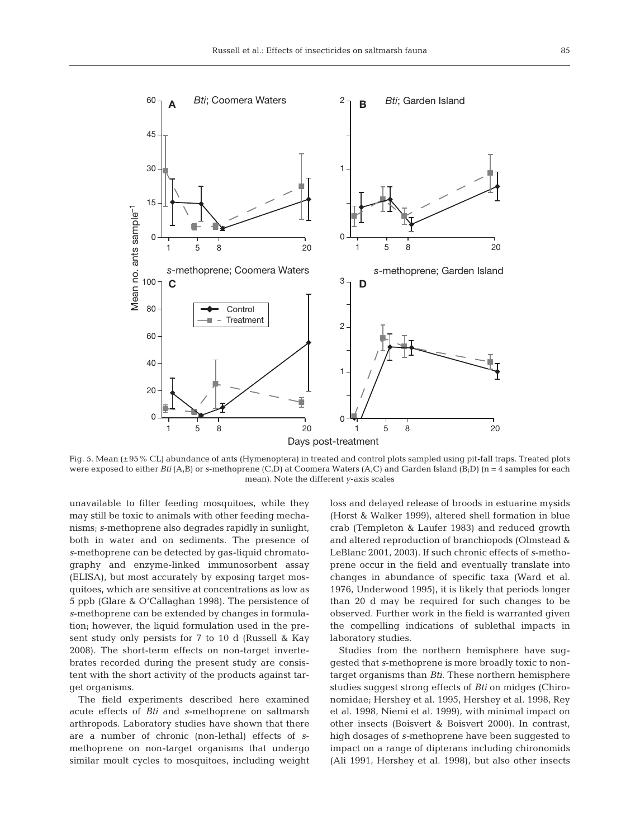

Fig. 5. Mean (±95% CL) abundance of ants (Hymenoptera) in treated and control plots sampled using pit-fall traps. Treated plots were exposed to either *Bti* (A,B) or *s*-methoprene (C,D) at Coomera Waters (A,C) and Garden Island (B;D) (n = 4 samples for each mean). Note the different *y*-axis scales

unavailable to filter feeding mosquitoes, while they may still be toxic to animals with other feeding mechanisms; *s*-methoprene also degrades rapidly in sunlight, both in water and on sediments. The presence of *s*-methoprene can be detected by gas-liquid chromatography and enzyme-linked immunosorbent assay (ELISA), but most accurately by exposing target mosquitoes, which are sensitive at concentrations as low as 5 ppb (Glare & O'Callaghan 1998). The persistence of *s*-methoprene can be extended by changes in formulation; however, the liquid formulation used in the present study only persists for 7 to 10 d (Russell & Kay 2008). The short-term effects on non-target invertebrates recorded during the present study are consistent with the short activity of the products against target organisms.

The field experiments described here examined acute effects of *Bti* and *s*-methoprene on saltmarsh arthropods. Laboratory studies have shown that there are a number of chronic (non-lethal) effects of *s*methoprene on non-target organisms that undergo similar moult cycles to mosquitoes, including weight loss and delayed release of broods in estuarine mysids (Horst & Walker 1999), altered shell formation in blue crab (Templeton & Laufer 1983) and reduced growth and altered reproduction of branchiopods (Olmstead & LeBlanc 2001, 2003). If such chronic effects of *s*-methoprene occur in the field and eventually translate into changes in abundance of specific taxa (Ward et al. 1976, Underwood 1995), it is likely that periods longer than 20 d may be required for such changes to be observed. Further work in the field is warranted given the compelling indications of sublethal impacts in laboratory studies.

Studies from the northern hemisphere have suggested that *s*-methoprene is more broadly toxic to nontarget organisms than *Bti*. These northern hemisphere studies suggest strong effects of *Bti* on midges (Chironomidae; Hershey et al. 1995, Hershey et al. 1998, Rey et al. 1998, Niemi et al. 1999), with minimal impact on other insects (Boisvert & Boisvert 2000). In contrast, high dosages of *s-*methoprene have been suggested to impact on a range of dipterans including chironomids (Ali 1991, Hershey et al. 1998), but also other insects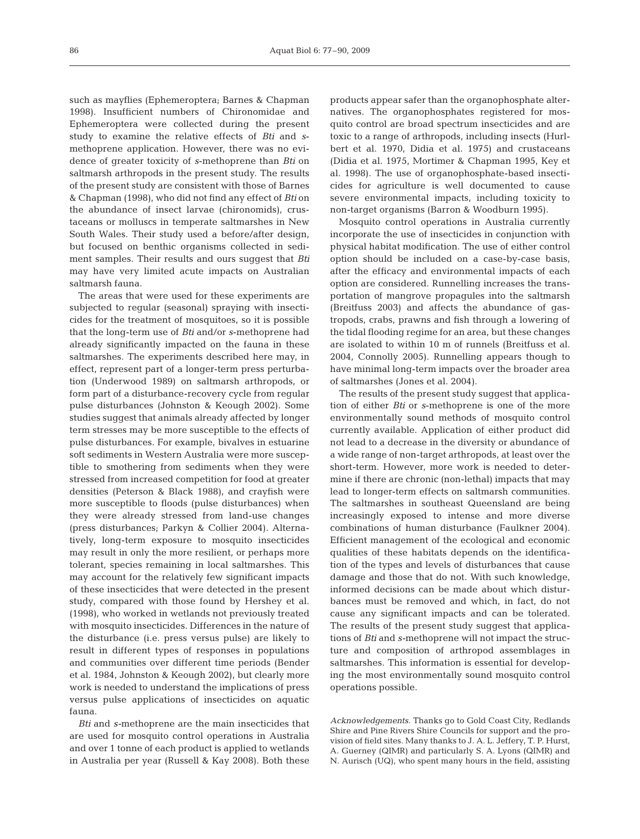such as mayflies (Ephemeroptera; Barnes & Chapman 1998). Insufficient numbers of Chironomidae and Ephemeroptera were collected during the present study to examine the relative effects of *Bti* and *s*methoprene application. However, there was no evidence of greater toxicity of *s*-methoprene than *Bti* on saltmarsh arthropods in the present study. The results of the present study are consistent with those of Barnes & Chapman (1998), who did not find any effect of *Bti* on the abundance of insect larvae (chironomids), crustaceans or molluscs in temperate saltmarshes in New South Wales. Their study used a before/after design, but focused on benthic organisms collected in sediment samples. Their results and ours suggest that *Bti* may have very limited acute impacts on Australian saltmarsh fauna.

The areas that were used for these experiments are subjected to regular (seasonal) spraying with insecticides for the treatment of mosquitoes, so it is possible that the long-term use of *Bti* and/or *s*-methoprene had already significantly impacted on the fauna in these saltmarshes. The experiments described here may, in effect, represent part of a longer-term press perturbation (Underwood 1989) on saltmarsh arthropods, or form part of a disturbance-recovery cycle from regular pulse disturbances (Johnston & Keough 2002). Some studies suggest that animals already affected by longer term stresses may be more susceptible to the effects of pulse disturbances. For example, bivalves in estuarine soft sediments in Western Australia were more susceptible to smothering from sediments when they were stressed from increased competition for food at greater densities (Peterson & Black 1988), and crayfish were more susceptible to floods (pulse disturbances) when they were already stressed from land-use changes (press disturbances; Parkyn & Collier 2004). Alternatively, long-term exposure to mosquito insecticides may result in only the more resilient, or perhaps more tolerant, species remaining in local saltmarshes. This may account for the relatively few significant impacts of these insecticides that were detected in the present study, compared with those found by Hershey et al. (1998), who worked in wetlands not previously treated with mosquito insecticides. Differences in the nature of the disturbance (i.e. press versus pulse) are likely to result in different types of responses in populations and communities over different time periods (Bender et al. 1984, Johnston & Keough 2002), but clearly more work is needed to understand the implications of press versus pulse applications of insecticides on aquatic fauna.

*Bti* and *s-*methoprene are the main insecticides that are used for mosquito control operations in Australia and over 1 tonne of each product is applied to wetlands in Australia per year (Russell & Kay 2008). Both these

products appear safer than the organophosphate alternatives. The organophosphates registered for mosquito control are broad spectrum insecticides and are toxic to a range of arthropods, including insects (Hurlbert et al. 1970, Didia et al. 1975) and crustaceans (Didia et al. 1975, Mortimer & Chapman 1995, Key et al. 1998). The use of organophosphate-based insecticides for agriculture is well documented to cause severe environmental impacts, including toxicity to non-target organisms (Barron & Woodburn 1995).

Mosquito control operations in Australia currently incorporate the use of insecticides in conjunction with physical habitat modification. The use of either control option should be included on a case-by-case basis, after the efficacy and environmental impacts of each option are considered. Runnelling increases the transportation of mangrove propagules into the saltmarsh (Breitfuss 2003) and affects the abundance of gastropods, crabs, prawns and fish through a lowering of the tidal flooding regime for an area, but these changes are isolated to within 10 m of runnels (Breitfuss et al. 2004, Connolly 2005). Runnelling appears though to have minimal long-term impacts over the broader area of saltmarshes (Jones et al. 2004).

The results of the present study suggest that application of either *Bti* or *s*-methoprene is one of the more environmentally sound methods of mosquito control currently available. Application of either product did not lead to a decrease in the diversity or abundance of a wide range of non-target arthropods, at least over the short-term. However, more work is needed to determine if there are chronic (non-lethal) impacts that may lead to longer-term effects on saltmarsh communities. The saltmarshes in southeast Queensland are being increasingly exposed to intense and more diverse combinations of human disturbance (Faulkner 2004). Efficient management of the ecological and economic qualities of these habitats depends on the identification of the types and levels of disturbances that cause damage and those that do not. With such knowledge, informed decisions can be made about which disturbances must be removed and which, in fact, do not cause any significant impacts and can be tolerated. The results of the present study suggest that applications of *Bti* and *s-*methoprene will not impact the structure and composition of arthropod assemblages in saltmarshes. This information is essential for developing the most environmentally sound mosquito control operations possible.

*Acknowledgements.* Thanks go to Gold Coast City, Redlands Shire and Pine Rivers Shire Councils for support and the provision of field sites. Many thanks to J. A. L. Jeffery, T. P. Hurst, A. Guerney (QIMR) and particularly S. A. Lyons (QIMR) and N. Aurisch (UQ), who spent many hours in the field, assisting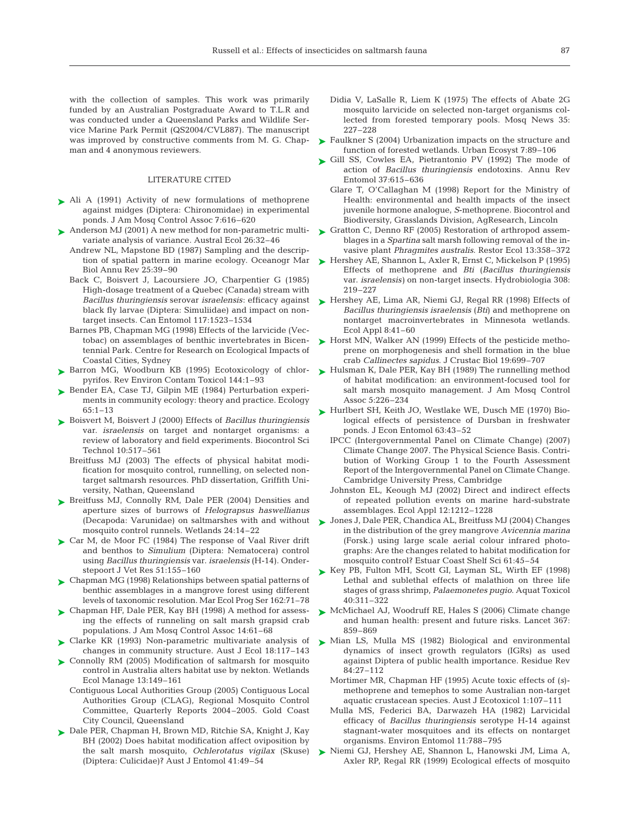with the collection of samples. This work was primarily funded by an Australian Postgraduate Award to T.L.R and was conducted under a Queensland Parks and Wildlife Service Marine Park Permit (QS2004/CVL887). The manuscript was improved by constructive comments from M. G. Chapman and 4 anonymous reviewers.

#### LITERATURE CITED

- ► Ali A (1991) Activity of new formulations of methoprene against midges (Diptera: Chironomidae) in experimental ponds. J Am Mosq Control Assoc 7:616–620
- ▶ Anderson MJ (2001) A new method for non-parametric multivariate analysis of variance. Austral Ecol 26:32–46
	- Andrew NL, Mapstone BD (1987) Sampling and the description of spatial pattern in marine ecology. Oceanogr Mar Biol Annu Rev 25:39–90
	- Back C, Boisvert J, Lacoursiere JO, Charpentier G (1985) High-dosage treatment of a Quebec (Canada) stream with *Bacillus thuringiensis* serovar *israelensis*: efficacy against black fly larvae (Diptera: Simuliidae) and impact on nontarget insects. Can Entomol 117:1523–1534
	- Barnes PB, Chapman MG (1998) Effects of the larvicide (Vectobac) on assemblages of benthic invertebrates in Bicentennial Park. Centre for Research on Ecological Impacts of Coastal Cities, Sydney
- ▶ Barron MG, Woodburn KB (1995) Ecotoxicology of chlorpyrifos. Rev Environ Contam Toxicol 144:1–93
- ▶ Bender EA, Case TJ, Gilpin ME (1984) Perturbation experiments in community ecology: theory and practice. Ecology 65:1–13
- Boisvert M, Boisvert J (2000) Effects of *Bacillus thuringiensis* ➤ var. *israelensis* on target and nontarget organisms: a review of laboratory and field experiments. Biocontrol Sci Technol 10:517–561
	- Breitfuss MJ (2003) The effects of physical habitat modification for mosquito control, runnelling, on selected nontarget saltmarsh resources. PhD dissertation, Griffith University, Nathan, Queensland
- ▶ Breitfuss MJ, Connolly RM, Dale PER (2004) Densities and aperture sizes of burrows of *Helograpsus haswellianus* (Decapoda: Varunidae) on saltmarshes with and without mosquito control runnels. Wetlands 24:14–22
- ► Car M, de Moor FC (1984) The response of Vaal River drift and benthos to *Simulium* (Diptera: Nematocera) control using *Bacillus thuringiensis* var. *israelensis* (H-14). Onderstepoort J Vet Res 51:155–160
- ► Chapman MG (1998) Relationships between spatial patterns of benthic assemblages in a mangrove forest using different levels of taxonomic resolution. Mar Ecol Prog Ser 162:71–78
- Chapman HF, Dale PER, Kay BH (1998) A method for assess-➤ ing the effects of runneling on salt marsh grapsid crab populations. J Am Mosq Control Assoc 14:61–68
- Clarke KR (1993) Non-parametric multivariate analysis of changes in community structure. Aust J Ecol 18:117–143 ➤
- ► Connolly RM (2005) Modification of saltmarsh for mosquito control in Australia alters habitat use by nekton. Wetlands Ecol Manage 13:149–161
	- Contiguous Local Authorities Group (2005) Contiguous Local Authorities Group (CLAG), Regional Mosquito Control Committee, Quarterly Reports 2004–2005. Gold Coast City Council, Queensland
- ► Dale PER, Chapman H, Brown MD, Ritchie SA, Knight J, Kay BH (2002) Does habitat modification affect oviposition by the salt marsh mosquito, *Ochlerotatus vigilax* (Skuse) (Diptera: Culicidae)? Aust J Entomol 41:49–54
- Didia V, LaSalle R, Liem K (1975) The effects of Abate 2G mosquito larvicide on selected non-target organisms collected from forested temporary pools. Mosq News 35: 227–228
- ► Faulkner S (2004) Urbanization impacts on the structure and function of forested wetlands. Urban Ecosyst 7:89–106
- ► Gill SS, Cowles EA, Pietrantonio PV (1992) The mode of action of *Bacillus thuringiensis* endotoxins. Annu Rev Entomol 37:615–636
	- Glare T, O'Callaghan M (1998) Report for the Ministry of Health: environmental and health impacts of the insect juvenile hormone analogue, *S*-methoprene. Biocontrol and Biodiversity, Grasslands Division, AgResearch, Lincoln
- ► Gratton C, Denno RF (2005) Restoration of arthropod assemblages in a *Spartina* salt marsh following removal of the invasive plant *Phragmites australis*. Restor Ecol 13:358–372
- ► Hershey AE, Shannon L, Axler R, Ernst C, Mickelson P (1995) Effects of methoprene and *Bti* (*Bacillus thuringiensis* var. *israelensis)* on non-target insects. Hydrobiologia 308: 219–227
- ► Hershey AE, Lima AR, Niemi GJ, Regal RR (1998) Effects of *Bacillus thuringiensis israelensis* (*Bti*) and methoprene on nontarget macroinvertebrates in Minnesota wetlands. Ecol Appl 8:41–60
- ► Horst MN, Walker AN (1999) Effects of the pesticide methoprene on morphogenesis and shell formation in the blue crab *Callinectes sapidus*. J Crustac Biol 19:699–707
- ► Hulsman K, Dale PER, Kay BH (1989) The runnelling method of habitat modification: an environment-focused tool for salt marsh mosquito management. J Am Mosq Control Assoc 5:226–234
- ▶ Hurlbert SH, Keith JO, Westlake WE, Dusch ME (1970) Biological effects of persistence of Dursban in freshwater ponds. J Econ Entomol 63:43–52
	- IPCC (Intergovernmental Panel on Climate Change) (2007) Climate Change 2007. The Physical Science Basis. Contribution of Working Group 1 to the Fourth Assessment Report of the Intergovernmental Panel on Climate Change. Cambridge University Press, Cambridge
	- Johnston EL, Keough MJ (2002) Direct and indirect effects of repeated pollution events on marine hard-substrate assemblages. Ecol Appl 12:1212–1228
- Jones J, Dale PER, Chandica AL, Breitfuss MJ (2004) Changes ➤ in the distribution of the grey mangrove *Avicennia marina* (Forsk.) using large scale aerial colour infrared photographs: Are the changes related to habitat modification for mosquito control? Estuar Coast Shelf Sci 61:45–54
- ► Key PB, Fulton MH, Scott GI, Layman SL, Wirth EF (1998) Lethal and sublethal effects of malathion on three life stages of grass shrimp, *Palaemonetes pugio*. Aquat Toxicol 40:311–322
- ▶ McMichael AJ, Woodruff RE, Hales S (2006) Climate change and human health: present and future risks. Lancet 367: 859–869
- ► Mian LS, Mulla MS (1982) Biological and environmental dynamics of insect growth regulators (IGRs) as used against Diptera of public health importance. Residue Rev 84:27–112
	- Mortimer MR, Chapman HF (1995) Acute toxic effects of (*s*) methoprene and temephos to some Australian non-target aquatic crustacean species. Aust J Ecotoxicol 1:107–111
	- Mulla MS, Federici BA, Darwazeh HA (1982) Larvicidal efficacy of *Bacillus thuringiensis* serotype H-14 against stagnant-water mosquitoes and its effects on nontarget organisms. Environ Entomol 11:788–795
- Niemi GJ, Hershey AE, Shannon L, Hanowski JM, Lima A, Axler RP, Regal RR (1999) Ecological effects of mosquito ➤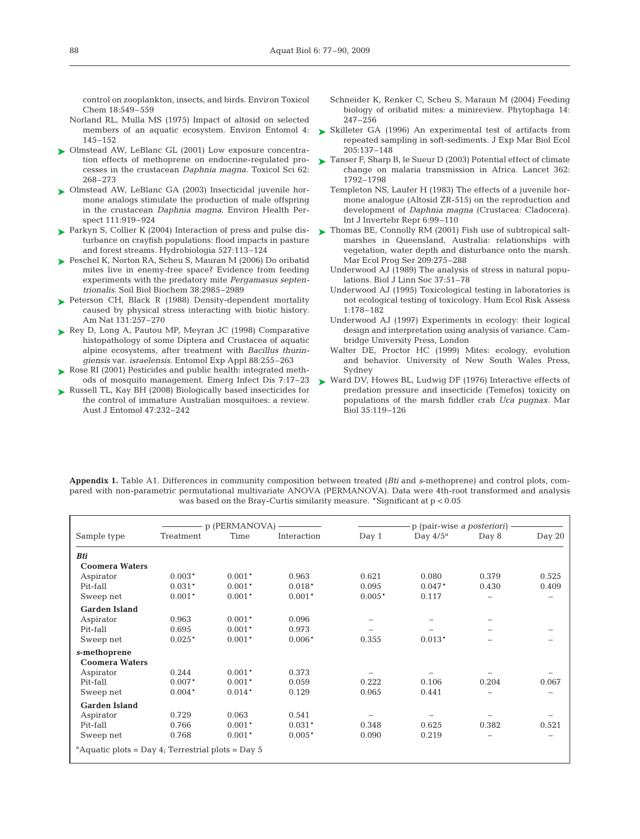control on zooplankton, insects, and birds. Environ Toxicol Chem 18:549–559

- Norland RL, Mulla MS (1975) Impact of altosid on selected members of an aquatic ecosystem. Environ Entomol 4: 145–152
- ▶ Olmstead AW, LeBlanc GL (2001) Low exposure concentration effects of methoprene on endocrine-regulated processes in the crustacean *Daphnia magna*. Toxicol Sci 62: 268–273
- Olmstead AW, LeBlanc GA (2003) Insecticidal juvenile hor-➤ mone analogs stimulate the production of male offspring in the crustacean *Daphnia magna*. Environ Health Perspect 111:919–924
- ► Parkyn S, Collier K (2004) Interaction of press and pulse disturbance on crayfish populations: flood impacts in pasture and forest streams. Hydrobiologia 527:113–124
- ► Peschel K, Norton RA, Scheu S, Mauran M (2006) Do oribatid mites live in enemy-free space? Evidence from feeding experiments with the predatory mite *Pergamasus septentrionalis*. Soil Biol Biochem 38:2985–2989
- ► Peterson CH, Black R (1988) Density-dependent mortality caused by physical stress interacting with biotic history. Am Nat 131:257–270
- ► Rey D, Long A, Pautou MP, Meyran JC (1998) Comparative histopathology of some Diptera and Crustacea of aquatic alpine ecosystems, after treatment with *Bacillus thuringiensis* var. *israelensis*. Entomol Exp Appl 88:255–263
- ▶ Rose RI (2001) Pesticides and public health: integrated methods of mosquito management. Emerg Infect Dis 7:17–23
- ► Russell TL, Kay BH (2008) Biologically based insecticides for the control of immature Australian mosquitoes: a review. Aust J Entomol 47:232–242
- Schneider K, Renker C, Scheu S, Maraun M (2004) Feeding biology of oribatid mites: a minireview. Phytophaga 14: 247–256
- ► Skilleter GA (1996) An experimental test of artifacts from repeated sampling in soft-sediments. J Exp Mar Biol Ecol 205:137–148
- ► Tanser F, Sharp B, le Sueur D (2003) Potential effect of climate change on malaria transmission in Africa. Lancet 362: 1792–1798
	- Templeton NS, Laufer H (1983) The effects of a juvenile hormone analogue (Altosid ZR-515) on the reproduction and development of *Daphnia magna* (Crustacea: Cladocera). Int J Invertebr Repr 6:99–110
- ► Thomas BE, Connolly RM (2001) Fish use of subtropical saltmarshes in Queensland, Australia: relationships with vegetation, water depth and disturbance onto the marsh. Mar Ecol Prog Ser 209:275–288
	- Underwood AJ (1989) The analysis of stress in natural populations. Biol J Linn Soc 37:51–78
	- Underwood AJ (1995) Toxicological testing in laboratories is not ecological testing of toxicology. Hum Ecol Risk Assess 1:178–182
	- Underwood AJ (1997) Experiments in ecology: their logical design and interpretation using analysis of variance. Cambridge University Press, London
	- Walter DE, Proctor HC (1999) Mites: ecology, evolution and behavior. University of New South Wales Press, Sydney
- ► Ward DV, Howes BL, Ludwig DF (1976) Interactive effects of predation pressure and insecticide (Temefos) toxicity on populations of the marsh fiddler crab *Uca pugnax*. Mar Biol 35:119–126

**Appendix 1.** Table A1. Differences in community composition between treated (*Bti* and *s*-methoprene) and control plots, compared with non-parametric permutational multivariate ANOVA (PERMANOVA). Data were 4th-root transformed and analysis was based on the Bray-Curtis similarity measure. \*Significant at p < 0.05

|                                                               | p (PERMANOVA) - |          |             | p (pair-wise a posteriori) - |             |       |        |
|---------------------------------------------------------------|-----------------|----------|-------------|------------------------------|-------------|-------|--------|
| Sample type                                                   | Treatment       | Time     | Interaction | Day 1                        | Day $4/5^a$ | Day 8 | Day 20 |
| <b>Bti</b>                                                    |                 |          |             |                              |             |       |        |
| <b>Coomera Waters</b>                                         |                 |          |             |                              |             |       |        |
| Aspirator                                                     | $0.003*$        | $0.001*$ | 0.963       | 0.621                        | 0.080       | 0.379 | 0.525  |
| Pit-fall                                                      | $0.031*$        | $0.001*$ | $0.018*$    | 0.095                        | $0.047*$    | 0.430 | 0.409  |
| Sweep net                                                     | $0.001*$        | $0.001*$ | $0.001*$    | $0.005*$                     | 0.117       |       |        |
| <b>Garden Island</b>                                          |                 |          |             |                              |             |       |        |
| Aspirator                                                     | 0.963           | $0.001*$ | 0.096       |                              |             |       |        |
| Pit-fall                                                      | 0.695           | $0.001*$ | 0.973       |                              |             |       |        |
| Sweep net                                                     | $0.025*$        | $0.001*$ | $0.006*$    | 0.355                        | $0.013*$    |       |        |
| s-methoprene                                                  |                 |          |             |                              |             |       |        |
| <b>Coomera Waters</b>                                         |                 |          |             |                              |             |       |        |
| Aspirator                                                     | 0.244           | $0.001*$ | 0.373       |                              |             |       |        |
| Pit-fall                                                      | $0.007*$        | $0.001*$ | 0.059       | 0.222                        | 0.106       | 0.204 | 0.067  |
| Sweep net                                                     | $0.004*$        | $0.014*$ | 0.129       | 0.065                        | 0.441       |       |        |
| <b>Garden Island</b>                                          |                 |          |             |                              |             |       |        |
| Aspirator                                                     | 0.729           | 0.063    | 0.541       |                              |             |       |        |
| Pit-fall                                                      | 0.766           | $0.001*$ | $0.031*$    | 0.348                        | 0.625       | 0.382 | 0.521  |
| Sweep net                                                     | 0.768           | $0.001*$ | $0.005*$    | 0.090                        | 0.219       |       |        |
| <sup>a</sup> Aquatic plots = Day 4; Terrestrial plots = Day 5 |                 |          |             |                              |             |       |        |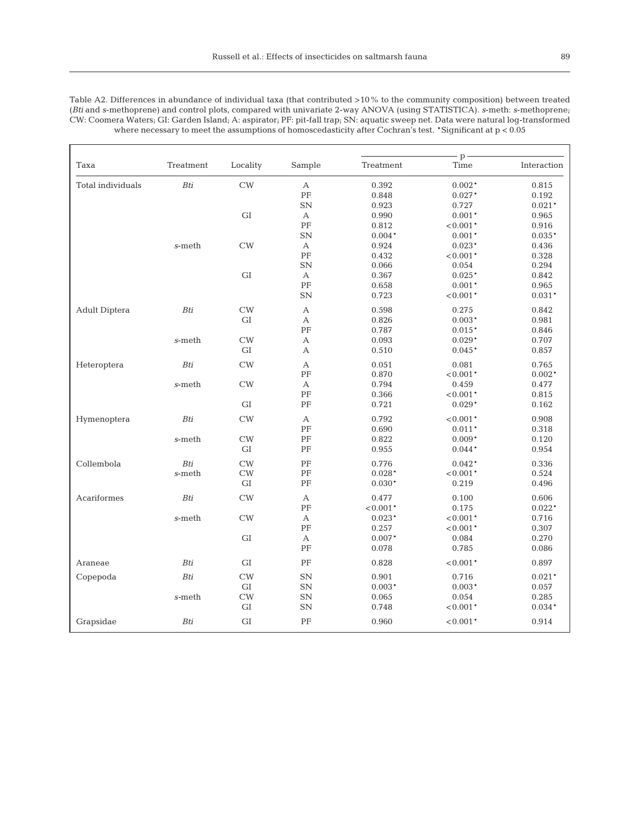|                      |               |            |                           | $p -$      |             |             |  |
|----------------------|---------------|------------|---------------------------|------------|-------------|-------------|--|
| Taxa                 | Treatment     | Locality   | Sample                    | Treatment  | Time        | Interaction |  |
| Total individuals    | Bti           | CW         | $\boldsymbol{\mathsf{A}}$ | 0.392      | $0.002*$    | 0.815       |  |
|                      |               |            | PF                        | 0.848      | $0.027*$    | 0.192       |  |
|                      |               |            | SN                        | 0.923      | 0.727       | $0.021*$    |  |
|                      |               | ${\rm GI}$ | A                         | 0.990      | $0.001*$    | 0.965       |  |
|                      |               |            | $\rm PF$                  | 0.812      | $< 0.001*$  | 0.916       |  |
|                      |               |            | SN                        | $0.004*$   | $0.001*$    | $0.035*$    |  |
|                      | s-meth        | CW         | А                         | 0.924      | $0.023*$    | 0.436       |  |
|                      |               |            | PF                        | 0.432      | $< 0.001*$  | 0.328       |  |
|                      |               |            | SN                        | 0.066      | 0.054       | 0.294       |  |
|                      |               | ${\rm GI}$ | A                         | 0.367      | $0.025*$    | 0.842       |  |
|                      |               |            | $\rm PF$                  | 0.658      | $0.001*$    | 0.965       |  |
|                      |               |            | SN                        | 0.723      | $< 0.001*$  | $0.031*$    |  |
| <b>Adult Diptera</b> | $\cal{B}t\!i$ | CW         | A                         | 0.598      | 0.275       | 0.842       |  |
|                      |               | GI         | A                         | 0.826      | $0.003*$    | 0.981       |  |
|                      |               |            | PF                        | 0.787      | $0.015*$    | 0.846       |  |
|                      | s-meth        | CW         | $\mathbf{A}$              | 0.093      | $0.029*$    | 0.707       |  |
|                      |               | ${\rm GI}$ | A                         | 0.510      | $0.045*$    | 0.857       |  |
| Heteroptera          | Bti           | CW         | А                         | 0.051      | 0.081       | 0.765       |  |
|                      |               |            | PF                        | 0.870      | $< 0.001*$  | $0.002*$    |  |
|                      | s-meth        | CW         | A                         | 0.794      | 0.459       | 0.477       |  |
|                      |               |            | $\rm PF$                  | 0.366      | $< 0.001*$  | 0.815       |  |
|                      |               | GI         | PF                        | 0.721      | $0.029*$    | 0.162       |  |
| Hymenoptera          | Bti           | CW         | A                         | 0.792      | $< 0.001*$  | 0.908       |  |
|                      |               |            | $\rm PF$                  | 0.690      | $0.011*$    | 0.318       |  |
|                      | s-meth        | CW         | PF                        | 0.822      | $0.009*$    | 0.120       |  |
|                      |               | GI         | PF                        | 0.955      | $0.044*$    | 0.954       |  |
| Collembola           | Bti           | CW         | PF                        | 0.776      | $0.042*$    | 0.336       |  |
|                      | s-meth        | CW         | $\rm PF$                  | $0.028*$   | $< 0.001*$  | 0.524       |  |
|                      |               | GI         | PF                        | $0.030*$   | 0.219       | 0.496       |  |
| Acariformes          | Bti           | CW         | $\mathbf{A}$              | 0.477      | 0.100       | 0.606       |  |
|                      |               |            | PF                        | $< 0.001*$ | 0.175       | $0.022*$    |  |
|                      | $s$ -meth     | CW         | A                         | $0.023*$   | $< 0.001*$  | 0.716       |  |
|                      |               |            | $\rm PF$                  | 0.257      | $< 0.001*$  | 0.307       |  |
|                      |               | $\rm GI$   | А                         | $0.007*$   | 0.084       | 0.270       |  |
|                      |               |            | PF                        | 0.078      | 0.785       | 0.086       |  |
|                      | Bti           | $\rm GI$   | PF                        | 0.828      | ${<}0.001*$ | 0.897       |  |
| Araneae              |               |            |                           |            |             |             |  |
| Copepoda             | Bti           | CW         | ${\rm SN}$                | 0.901      | 0.716       | $0.021*$    |  |
|                      |               | GI         | SN                        | $0.003*$   | $0.003*$    | 0.057       |  |
|                      | s-meth        | CW         | SN                        | 0.065      | 0.054       | 0.285       |  |
|                      |               | GI         | SN                        | 0.748      | $< 0.001*$  | $0.034*$    |  |
| Grapsidae            | Bti           | GI         | PF                        | 0.960      | $< 0.001*$  | 0.914       |  |

Table A2. Differences in abundance of individual taxa (that contributed >10% to the community composition) between treated (*Bti* and *s*-methoprene) and control plots, compared with univariate 2-way ANOVA (using STATISTICA). *s*-meth: *s*-methoprene; CW: Coomera Waters; GI: Garden Island; A: aspirator; PF: pit-fall trap; SN: aquatic sweep net. Data were natural log-transformed where necessary to meet the assumptions of homoscedasticity after Cochran's test. \*Significant at  $p < 0.05$